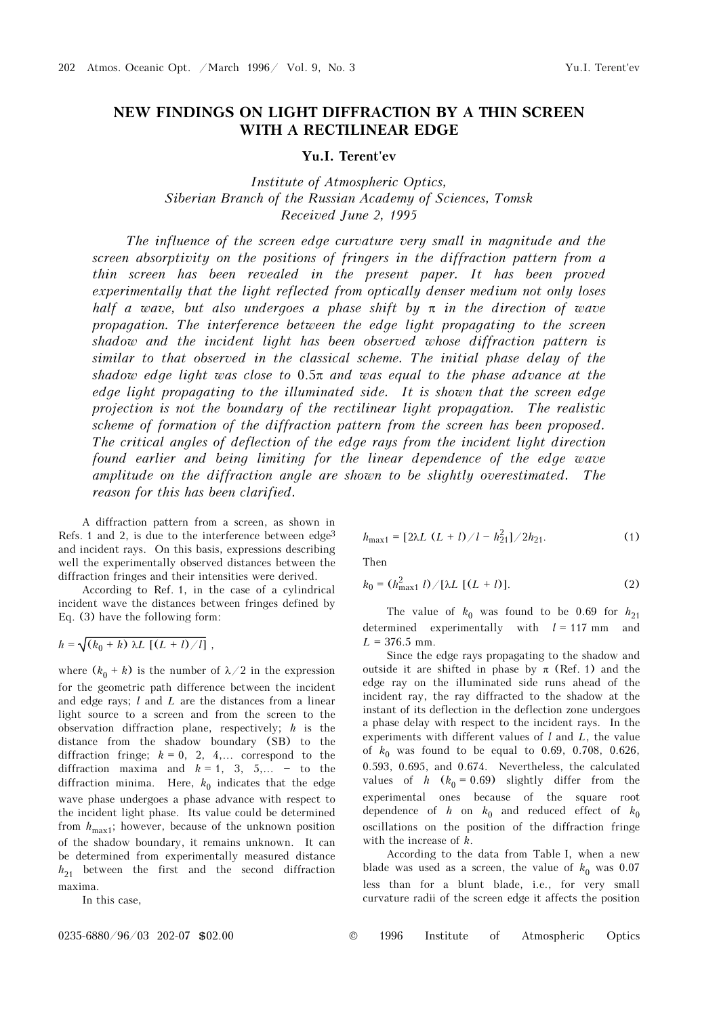## **NEW FINDINGS ON LIGHT DIFFRACTION BY A THIN SCREEN WITH A RECTILINEAR EDGE**

## **Yu.I. Terent'ev**

*Institute of Atmospheric Optics, Siberian Branch of the Russian Academy of Sciences, Tomsk Received June 2, 1995* 

*The influence of the screen edge curvature very small in magnitude and the screen absorptivity on the positions of fringers in the diffraction pattern from a thin screen has been revealed in the present paper. It has been proved experimentally that the light reflected from optically denser medium not only loses half a wave, but also undergoes a phase shift by* π *in the direction of wave propagation. The interference between the edge light propagating to the screen shadow and the incident light has been observed whose diffraction pattern is similar to that observed in the classical scheme. The initial phase delay of the shadow edge light was close to* 0.5π *and was equal to the phase advance at the edge light propagating to the illuminated side. It is shown that the screen edge projection is not the boundary of the rectilinear light propagation. The realistic scheme of formation of the diffraction pattern from the screen has been proposed. The critical angles of deflection of the edge rays from the incident light direction found earlier and being limiting for the linear dependence of the edge wave amplitude on the diffraction angle are shown to be slightly overestimated. The reason for this has been clarified.* 

A diffraction pattern from a screen, as shown in Refs. 1 and 2, is due to the interference between  $edge<sup>3</sup>$ and incident rays. On this basis, expressions describing well the experimentally observed distances between the diffraction fringes and their intensities were derived.

According to Ref. 1, in the case of a cylindrical incident wave the distances between fringes defined by Eq. (3) have the following form:

$$
h = \sqrt{(k_0 + k) \lambda L \left[ (L + l) / l \right]},
$$

where  $(k_0 + k)$  is the number of  $\lambda/2$  in the expression for the geometric path difference between the incident and edge rays; *l* and *L* are the distances from a linear light source to a screen and from the screen to the observation diffraction plane, respectively; *h* is the distance from the shadow boundary (SB) to the diffraction fringe;  $k = 0, 2, 4,...$  correspond to the diffraction maxima and  $k = 1, 3, 5,... -$  to the diffraction minima. Here,  $k_0$  indicates that the edge wave phase undergoes a phase advance with respect to the incident light phase. Its value could be determined from  $h_{\text{max1}}$ ; however, because of the unknown position of the shadow boundary, it remains unknown. It can be determined from experimentally measured distance  $h_{21}$  between the first and the second diffraction maxima.

In this case,

$$
h_{\text{max1}} = [2\lambda L (L + l) / l - h_{21}^{2}] / 2h_{21}.
$$
 (1)

Then

$$
k_0 = (h_{\text{max1}}^2 l) / [\lambda L [(L + l)]. \tag{2}
$$

The value of  $k_0$  was found to be 0.69 for  $h_{21}$ determined experimentally with *l* = 117 mm and  $L = 376.5$  mm.

Since the edge rays propagating to the shadow and outside it are shifted in phase by  $\pi$  (Ref. 1) and the edge ray on the illuminated side runs ahead of the incident ray, the ray diffracted to the shadow at the instant of its deflection in the deflection zone undergoes a phase delay with respect to the incident rays. In the experiments with different values of *l* and *L*, the value of  $k_0$  was found to be equal to 0.69, 0.708, 0.626, 0.593, 0.695, and 0.674. Nevertheless, the calculated values of *h* ( $k_0 = 0.69$ ) slightly differ from the experimental ones because of the square root dependence of *h* on  $k_0$  and reduced effect of  $k_0$ oscillations on the position of the diffraction fringe with the increase of *k*.

According to the data from Table I, when a new blade was used as a screen, the value of  $k_0$  was 0.07 less than for a blunt blade, i.e., for very small curvature radii of the screen edge it affects the position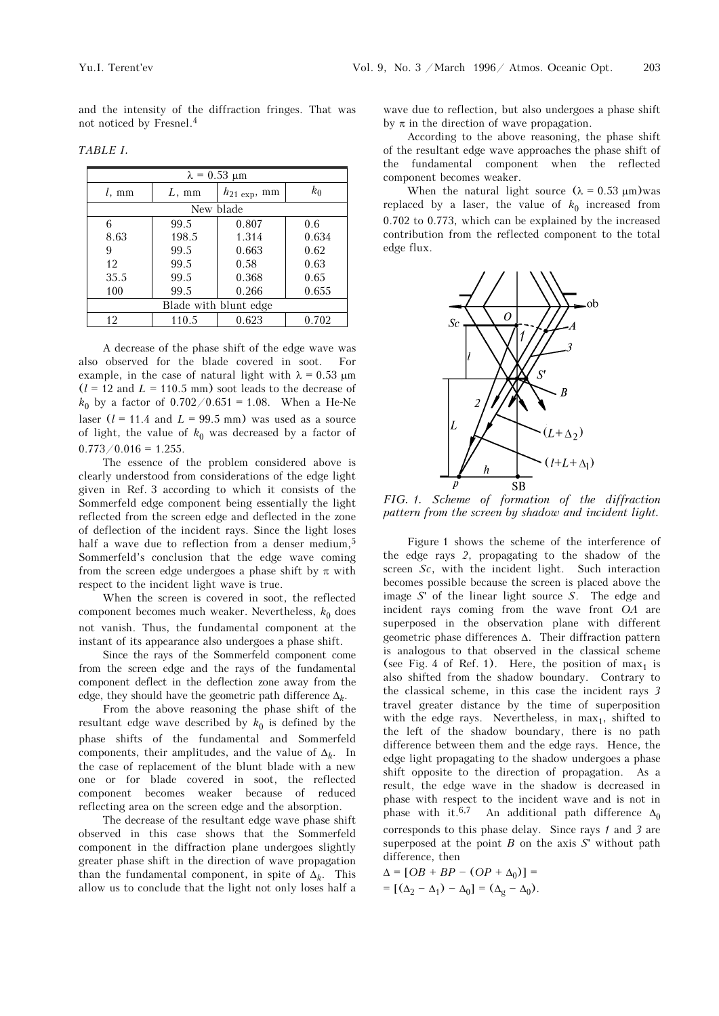and the intensity of the diffraction fringes. That was not noticed by Fresnel.4

*TABLE I.*

| $\lambda = 0.53$ µm   |                |           |       |  |  |  |
|-----------------------|----------------|-----------|-------|--|--|--|
| $l$ , mm              | $L, \text{mm}$ | $k_0$     |       |  |  |  |
|                       |                | New blade |       |  |  |  |
| 6                     | 99.5           | 0.807     | 0.6   |  |  |  |
| 8.63                  | 198.5          | 1.314     | 0.634 |  |  |  |
| 9                     | 99.5           | 0.663     | 0.62  |  |  |  |
| 12                    | 99.5           | 0.58      | 0.63  |  |  |  |
| 35.5                  | 99.5           | 0.368     | 0.65  |  |  |  |
| 100                   | 99.5           | 0.266     | 0.655 |  |  |  |
| Blade with blunt edge |                |           |       |  |  |  |
| 12                    | 110.5          | 0.623     | 0.702 |  |  |  |

A decrease of the phase shift of the edge wave was also observed for the blade covered in soot. For example, in the case of natural light with  $\lambda = 0.53 \mu m$  $(l = 12$  and  $L = 110.5$  mm) soot leads to the decrease of  $k_0$  by a factor of  $0.702/0.651 = 1.08$ . When a He-Ne laser  $(l = 11.4$  and  $L = 99.5$  mm) was used as a source of light, the value of  $k_0$  was decreased by a factor of  $0.773/0.016 = 1.255$ .

The essence of the problem considered above is clearly understood from considerations of the edge light given in Ref. 3 according to which it consists of the Sommerfeld edge component being essentially the light reflected from the screen edge and deflected in the zone of deflection of the incident rays. Since the light loses half a wave due to reflection from a denser medium,<sup>5</sup> Sommerfeld's conclusion that the edge wave coming from the screen edge undergoes a phase shift by  $\pi$  with respect to the incident light wave is true.

When the screen is covered in soot, the reflected component becomes much weaker. Nevertheless,  $k_0$  does not vanish. Thus, the fundamental component at the instant of its appearance also undergoes a phase shift.

Since the rays of the Sommerfeld component come from the screen edge and the rays of the fundamental component deflect in the deflection zone away from the edge, they should have the geometric path difference Δ*k*.

From the above reasoning the phase shift of the resultant edge wave described by  $k_0$  is defined by the phase shifts of the fundamental and Sommerfeld components, their amplitudes, and the value of  $\Delta_k$ . In the case of replacement of the blunt blade with a new one or for blade covered in soot, the reflected component becomes weaker because of reduced reflecting area on the screen edge and the absorption.

The decrease of the resultant edge wave phase shift observed in this case shows that the Sommerfeld component in the diffraction plane undergoes slightly greater phase shift in the direction of wave propagation than the fundamental component, in spite of  $\Delta_k$ . This allow us to conclude that the light not only loses half a wave due to reflection, but also undergoes a phase shift by  $\pi$  in the direction of wave propagation.

According to the above reasoning, the phase shift of the resultant edge wave approaches the phase shift of the fundamental component when the reflected component becomes weaker.

When the natural light source  $(\lambda = 0.53 \text{ }\mu\text{m})$  was replaced by a laser, the value of  $k_0$  increased from 0.702 to 0.773, which can be explained by the increased contribution from the reflected component to the total edge flux.



*FIG. 1. Scheme of formation of the diffraction pattern from the screen by shadow and incident light.*

Figure 1 shows the scheme of the interference of the edge rays *2*, propagating to the shadow of the screen *Sc*, with the incident light. Such interaction becomes possible because the screen is placed above the image *S*' of the linear light source *S*. The edge and incident rays coming from the wave front *OA* are superposed in the observation plane with different geometric phase differences Δ. Their diffraction pattern is analogous to that observed in the classical scheme (see Fig. 4 of Ref. 1). Here, the position of  $max<sub>1</sub>$  is also shifted from the shadow boundary. Contrary to the classical scheme, in this case the incident rays *3* travel greater distance by the time of superposition with the edge rays. Nevertheless, in  $max<sub>1</sub>$ , shifted to the left of the shadow boundary, there is no path difference between them and the edge rays. Hence, the edge light propagating to the shadow undergoes a phase shift opposite to the direction of propagation. As a result, the edge wave in the shadow is decreased in phase with respect to the incident wave and is not in phase with it.<sup>6,7</sup> An additional path difference  $\Delta_0$ corresponds to this phase delay. Since rays *1* and *3* are superposed at the point *B* on the axis *S*' without path difference, then

 $\Delta = [OB + BP - (OP + \Delta_0)] =$  $= [(\Delta_2 - \Delta_1) - \Delta_0] = (\Delta_g - \Delta_0).$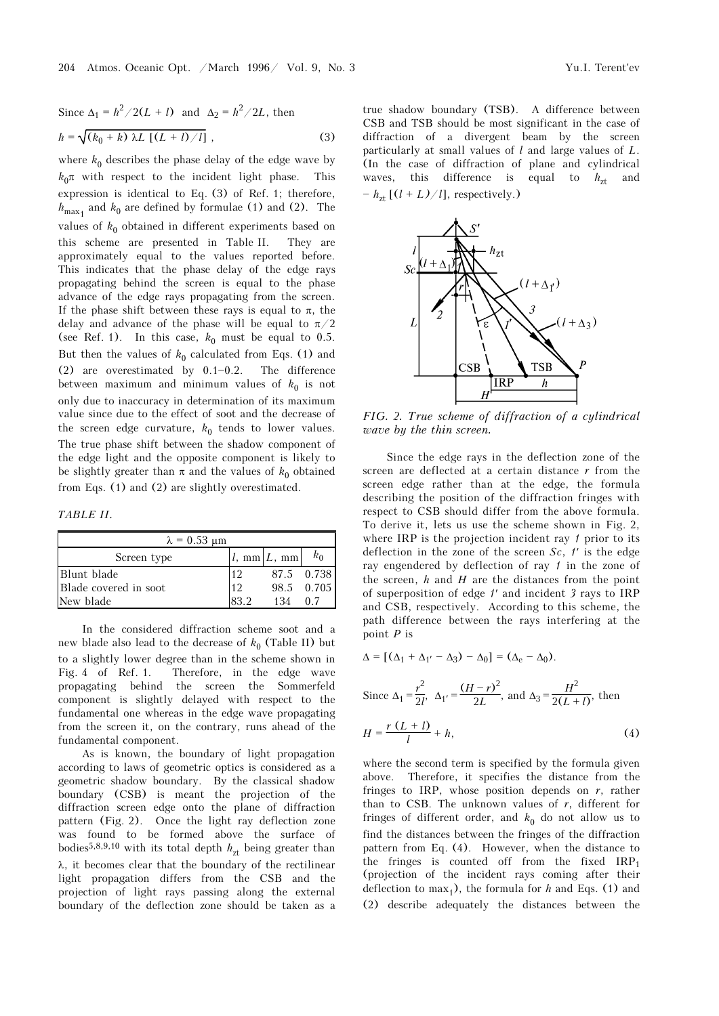Since 
$$
\Delta_1 = h^2 / 2(L + l)
$$
 and  $\Delta_2 = h^2 / 2L$ , then  
\n
$$
h = \sqrt{(k_0 + k) \lambda L [ (L + l) / l ]}
$$
, (3)

where  $k_0$  describes the phase delay of the edge wave by  $k_0$ π with respect to the incident light phase. This expression is identical to Eq. (3) of Ref. 1; therefore,  $h_{\text{max}_1}$  and  $k_0$  are defined by formulae (1) and (2). The values of  $k_0$  obtained in different experiments based on this scheme are presented in Table II. They are approximately equal to the values reported before. This indicates that the phase delay of the edge rays propagating behind the screen is equal to the phase advance of the edge rays propagating from the screen. If the phase shift between these rays is equal to  $\pi$ , the delay and advance of the phase will be equal to  $\pi/2$ (see Ref. 1). In this case,  $k_0$  must be equal to 0.5. But then the values of  $k_0$  calculated from Eqs. (1) and (2) are overestimated by  $0.1 - 0.2$ . The difference between maximum and minimum values of  $k_0$  is not only due to inaccuracy in determination of its maximum value since due to the effect of soot and the decrease of the screen edge curvature,  $k_0$  tends to lower values. The true phase shift between the shadow component of the edge light and the opposite component is likely to be slightly greater than  $\pi$  and the values of  $k_0$  obtained from Eqs. (1) and (2) are slightly overestimated.

*TABLE II.*

| $\lambda = 0.53$ um   |      |                                               |            |  |  |  |
|-----------------------|------|-----------------------------------------------|------------|--|--|--|
| Screen type           |      | $l, \, \text{mm} \vert L, \, \text{mm} \vert$ | $k_0$      |  |  |  |
| Blunt blade           | -12  |                                               | 87.5 0.738 |  |  |  |
| Blade covered in soot | 12.  |                                               | 98.5 0.705 |  |  |  |
| New blade             | 83.2 | 134                                           | 0.7        |  |  |  |

In the considered diffraction scheme soot and a new blade also lead to the decrease of  $k_0$  (Table II) but to a slightly lower degree than in the scheme shown in Fig. 4 of Ref. 1. Therefore, in the edge wave propagating behind the screen the Sommerfeld component is slightly delayed with respect to the fundamental one whereas in the edge wave propagating from the screen it, on the contrary, runs ahead of the fundamental component.

As is known, the boundary of light propagation according to laws of geometric optics is considered as a geometric shadow boundary. By the classical shadow boundary (CSB) is meant the projection of the diffraction screen edge onto the plane of diffraction pattern (Fig. 2). Once the light ray deflection zone was found to be formed above the surface of bodies<sup>5,8,9,10</sup> with its total depth  $h_{zt}$  being greater than λ, it becomes clear that the boundary of the rectilinear light propagation differs from the CSB and the projection of light rays passing along the external boundary of the deflection zone should be taken as a true shadow boundary (TSB). A difference between CSB and TSB should be most significant in the case of diffraction of a divergent beam by the screen particularly at small values of *l* and large values of *L*. (In the case of diffraction of plane and cylindrical waves, this difference is equal to  $h_{\tau t}$  and  $-h_{zt}$  [( $l + L$ )/ $l$ ], respectively.)



*FIG. 2. True scheme of diffraction of a cylindrical wave by the thin screen.* 

Since the edge rays in the deflection zone of the screen are deflected at a certain distance *r* from the screen edge rather than at the edge, the formula describing the position of the diffraction fringes with respect to CSB should differ from the above formula. To derive it, lets us use the scheme shown in Fig. 2, where IRP is the projection incident ray *1* prior to its deflection in the zone of the screen *Sc*, *1*′ is the edge ray engendered by deflection of ray *1* in the zone of the screen, *h* and *H* are the distances from the point of superposition of edge *1*′ and incident *3* rays to IRP and CSB, respectively. According to this scheme, the path difference between the rays interfering at the point *P* is

$$
\Delta = [(\Delta_1 + \Delta_{1'} - \Delta_3) - \Delta_0] = (\Delta_e - \Delta_0).
$$
  
Since  $\Delta_1 = \frac{r^2}{2l}$ ,  $\Delta_{1'} = \frac{(H - r)^2}{2L}$ , and  $\Delta_3 = \frac{H^2}{2(L + l)}$ , then  

$$
H = \frac{r(L + l)}{l} + h,
$$
 (4)

where the second term is specified by the formula given above. Therefore, it specifies the distance from the fringes to IRP, whose position depends on *r*, rather than to CSB. The unknown values of  $r$ , different for fringes of different order, and  $k_0$  do not allow us to find the distances between the fringes of the diffraction pattern from Eq. (4). However, when the distance to the fringes is counted off from the fixed  $IRP<sub>1</sub>$ (projection of the incident rays coming after their deflection to max<sub>1</sub>), the formula for *h* and Eqs. (1) and (2) describe adequately the distances between the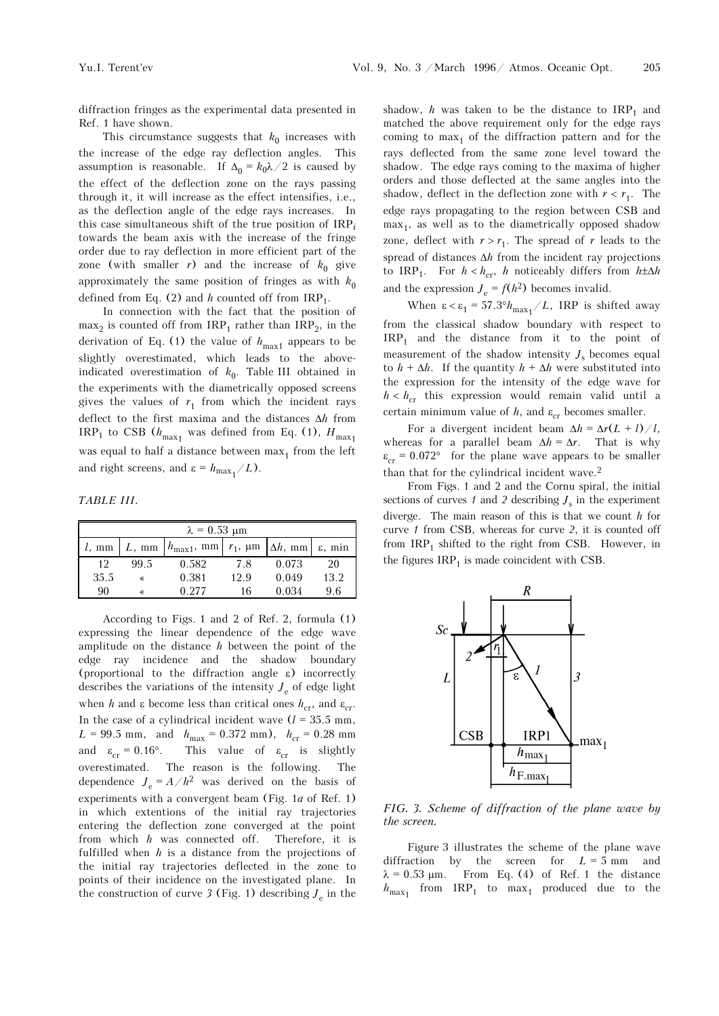diffraction fringes as the experimental data presented in Ref. 1 have shown.

This circumstance suggests that  $k_0$  increases with the increase of the edge ray deflection angles. This assumption is reasonable. If  $\Delta_0 = k_0 \lambda / 2$  is caused by the effect of the deflection zone on the rays passing through it, it will increase as the effect intensifies, i.e., as the deflection angle of the edge rays increases. In this case simultaneous shift of the true position of IRP*<sup>i</sup>* towards the beam axis with the increase of the fringe order due to ray deflection in more efficient part of the zone (with smaller  $r$ ) and the increase of  $k_0$  give approximately the same position of fringes as with  $k_0$ defined from Eq.  $(2)$  and *h* counted off from  $IRP_1$ .

In connection with the fact that the position of  $max<sub>2</sub>$  is counted off from IRP<sub>1</sub> rather than IRP<sub>2</sub>, in the derivation of Eq. (1) the value of  $h_{\text{max1}}$  appears to be slightly overestimated, which leads to the aboveindicated overestimation of  $k_0$ . Table III obtained in the experiments with the diametrically opposed screens gives the values of  $r_1$  from which the incident rays deflect to the first maxima and the distances Δ*h* from  $IRP_1$  to CSB ( $h_{\text{max}_1}$  was defined from Eq. (1),  $H_{\text{max}_1}$ was equal to half a distance between  $max<sub>1</sub>$  from the left and right screens, and  $\varepsilon = h_{\text{max}_1}/L$ ).

*TABLE III.* 

| $\lambda = 0.53$ um |          |                        |                 |                 |                     |  |
|---------------------|----------|------------------------|-----------------|-----------------|---------------------|--|
| $l, \text{mm}$      | $L$ , mm | $h_{\text{max1}}$ , mm | $r_1$ , $\mu$ m | $\Delta h$ , mm | $\varepsilon$ , min |  |
| 12                  | 99.5     | 0.582                  | 7.8             | 0.073           | 20                  |  |
| 35.5                | «        | 0.381                  | 12.9            | 0.049           | 13.2                |  |
| 90                  |          | 0.277                  | 16              | 0.034           | 9.6                 |  |

According to Figs. 1 and 2 of Ref. 2, formula (1) expressing the linear dependence of the edge wave amplitude on the distance *h* between the point of the edge ray incidence and the shadow boundary (proportional to the diffraction angle ε) incorrectly describes the variations of the intensity  $J<sub>e</sub>$  of edge light when *h* and  $\varepsilon$  become less than critical ones  $h_{cr}$ , and  $\varepsilon_{cr}$ . In the case of a cylindrical incident wave  $(l = 35.5 \text{ mm})$ ,  $L = 99.5$  mm, and  $h_{\text{max}} = 0.372$  mm),  $h_{\text{cr}} = 0.28$  mm and  $\varepsilon_{cr} = 0.16^{\circ}$ . This value of  $\varepsilon_{cr}$  is slightly overestimated. The reason is the following. The dependence  $J_e = A/h^2$  was derived on the basis of experiments with a convergent beam (Fig. 1*a* of Ref. 1) in which extentions of the initial ray trajectories entering the deflection zone converged at the point from which *h* was connected off. Therefore, it is fulfilled when *h* is a distance from the projections of the initial ray trajectories deflected in the zone to points of their incidence on the investigated plane. In the construction of curve  $\beta$  (Fig. 1) describing  $J_e$  in the

shadow,  $h$  was taken to be the distance to  $IRP_1$  and matched the above requirement only for the edge rays coming to  $max<sub>1</sub>$  of the diffraction pattern and for the rays deflected from the same zone level toward the shadow. The edge rays coming to the maxima of higher orders and those deflected at the same angles into the shadow, deflect in the deflection zone with  $r < r_1$ . The edge rays propagating to the region between CSB and  $max<sub>1</sub>$ , as well as to the diametrically opposed shadow zone, deflect with  $r > r_1$ . The spread of *r* leads to the spread of distances Δ*h* from the incident ray projections to  $IRP_1$ . For  $h < h_{cr}$ , *h* noticeably differs from  $h \pm \Delta h$ and the expression  $J_e = f(h^2)$  becomes invalid.

When  $\epsilon < \epsilon_1 = 57.3^\circ h_{\text{max}_1}/L$ , IRP is shifted away from the classical shadow boundary with respect to  $IRP<sub>1</sub>$  and the distance from it to the point of measurement of the shadow intensity  $J_s$  becomes equal to  $h + \Delta h$ . If the quantity  $h + \Delta h$  were substituted into the expression for the intensity of the edge wave for  $h < h_{cr}$  this expression would remain valid until a certain minimum value of  $h$ , and  $\varepsilon_{cr}$  becomes smaller.

For a divergent incident beam  $\Delta h = \Delta r(L + l)/l$ , whereas for a parallel beam  $\Delta h = \Delta r$ . That is why  $\varepsilon_{cr} = 0.072$ ° for the plane wave appears to be smaller than that for the cylindrical incident wave.2

From Figs. 1 and 2 and the Cornu spiral, the initial sections of curves  $1$  and  $2$  describing  $J_s$  in the experiment diverge. The main reason of this is that we count *h* for curve *1* from CSB, whereas for curve *2*, it is counted off from  $IRP_1$  shifted to the right from CSB. However, in the figures  $IRP<sub>1</sub>$  is made coincident with CSB.



*FIG. 3. Scheme of diffraction of the plane wave by the screen.* 

Figure 3 illustrates the scheme of the plane wave diffraction by the screen for  $L = 5$  mm and  $\lambda = 0.53 \mu m$ . From Eq. (4) of Ref. 1 the distance  $h_{\text{max}_1}$  from  $\text{IRP}_1$  to  $\text{max}_1$  produced due to the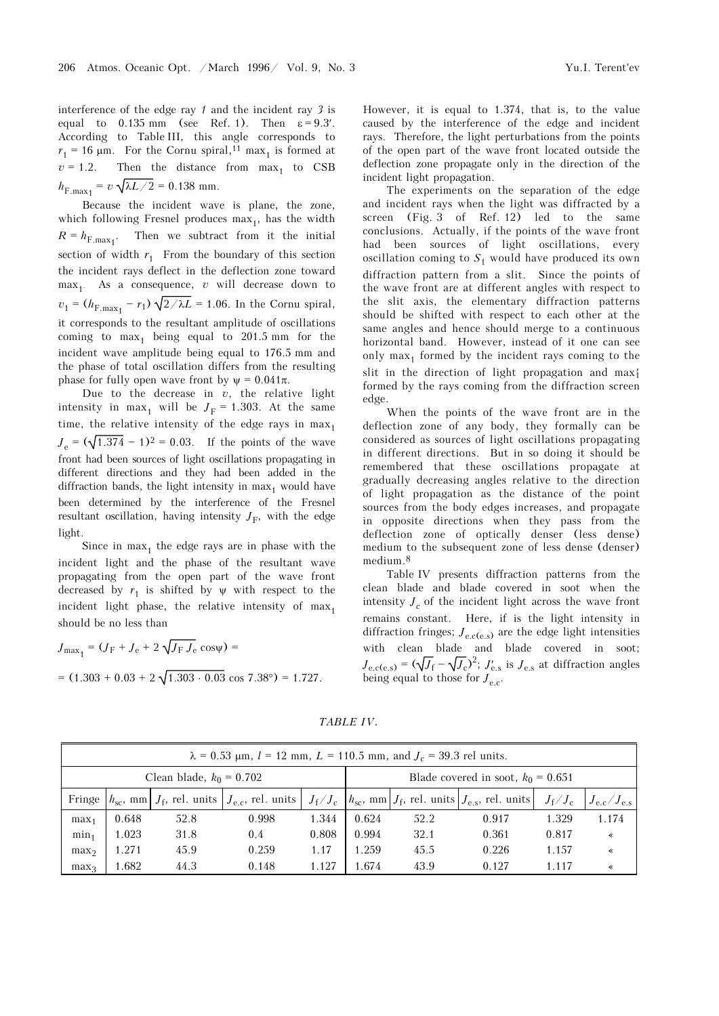interference of the edge ray *1* and the incident ray *3* is equal to  $0.135$  mm (see Ref. 1). Then  $\varepsilon = 9.3'$ . According to Table III, this angle corresponds to  $r_1 = 16 \text{ }\mu\text{m}$ . For the Cornu spiral,<sup>11</sup> max<sub>1</sub> is formed at  $v = 1.2$ . Then the distance from max<sub>1</sub> to CSB Then the distance from  $max_1$  to  $CSB$  $h_{\text{F,max}_1} = v \sqrt{\lambda L / 2} = 0.138 \text{ mm}.$ 

Because the incident wave is plane, the zone, which following Fresnel produces  $max<sub>1</sub>$ , has the width  $R = h_{\text{F,max}_1}$ . . Then we subtract from it the initial section of width  $r_1$  From the boundary of this section the incident rays deflect in the deflection zone toward  $max<sub>1</sub>$ . As a consequence, *v* will decrease down to  $v_1 = (h_{F,\text{max}_1} - r_1) \sqrt{2/\lambda L} = 1.06$ . In the Cornu spiral, it corresponds to the resultant amplitude of oscillations coming to  $max_1$  being equal to 201.5 mm for the incident wave amplitude being equal to 176.5 mm and the phase of total oscillation differs from the resulting phase for fully open wave front by  $\psi = 0.041\pi$ .

Due to the decrease in  $v$ , the relative light intensity in max<sub>1</sub> will be  $J_F = 1.303$ . At the same time, the relative intensity of the edge rays in  $max<sub>1</sub>$  $J_e = (\sqrt{1.374} - 1)^2 = 0.03$ . If the points of the wave front had been sources of light oscillations propagating in different directions and they had been added in the diffraction bands, the light intensity in  $max<sub>1</sub>$  would have been determined by the interference of the Fresnel resultant oscillation, having intensity  $J_F$ , with the edge light.

Since in  $max<sub>1</sub>$  the edge rays are in phase with the incident light and the phase of the resultant wave propagating from the open part of the wave front decreased by  $r_1$  is shifted by  $\psi$  with respect to the incident light phase, the relative intensity of  $max_1$ should be no less than

$$
J_{\text{max}_1} = (J_{\text{F}} + J_{\text{e}} + 2\sqrt{J_{\text{F}} J_{\text{e}}}\cos\psi) =
$$
  
= (1.303 + 0.03 + 2\sqrt{1.303 \cdot 0.03} \cos 7.38^\circ) = 1.727.

However, it is equal to 1.374, that is, to the value caused by the interference of the edge and incident rays. Therefore, the light perturbations from the points of the open part of the wave front located outside the deflection zone propagate only in the direction of the incident light propagation.

The experiments on the separation of the edge and incident rays when the light was diffracted by a screen (Fig. 3 of Ref. 12) led to the same conclusions. Actually, if the points of the wave front had been sources of light oscillations, every oscillation coming to  $S_1$  would have produced its own diffraction pattern from a slit. Since the points of the wave front are at different angles with respect to the slit axis, the elementary diffraction patterns should be shifted with respect to each other at the same angles and hence should merge to a continuous horizontal band. However, instead of it one can see only  $\max_1$  formed by the incident rays coming to the slit in the direction of light propagation and max<sub>1</sub> formed by the rays coming from the diffraction screen edge.

When the points of the wave front are in the deflection zone of any body, they formally can be considered as sources of light oscillations propagating in different directions. But in so doing it should be remembered that these oscillations propagate at gradually decreasing angles relative to the direction of light propagation as the distance of the point sources from the body edges increases, and propagate in opposite directions when they pass from the deflection zone of optically denser (less dense) medium to the subsequent zone of less dense (denser) medium.8

Table IV presents diffraction patterns from the clean blade and blade covered in soot when the intensity  $J_c$  of the incident light across the wave front remains constant. Here, if is the light intensity in diffraction fringes;  $J_{\text{e c}}(e s)$  are the edge light intensities with clean blade and blade covered in soot;  $J_{\text{e.c}(e.s)} = (\sqrt{J_f} - \sqrt{J_c})^2$ ;  $J'_{\text{e.s}}$  is  $J_{\text{e.s}}$  at diffraction angles being equal to those for  $J_{\text{eq}}$ .

|                            | $\lambda = 0.53$ µm, $l = 12$ mm, $L = 110.5$ mm, and $J_c = 39.3$ rel units. |      |       |                                      |                                                                                                                                                                                                     |      |       |       |       |
|----------------------------|-------------------------------------------------------------------------------|------|-------|--------------------------------------|-----------------------------------------------------------------------------------------------------------------------------------------------------------------------------------------------------|------|-------|-------|-------|
| Clean blade, $k_0 = 0.702$ |                                                                               |      |       | Blade covered in soot, $k_0 = 0.651$ |                                                                                                                                                                                                     |      |       |       |       |
|                            |                                                                               |      |       |                                      | Fringe $ h_{sc}$ , mm $J_f$ , rel. units $J_{e,c}$ , rel. units $J_f/J_c$ $ h_{sc}$ , mm $J_f$ , rel. units $J_{e,s}$ , rel. units $ J_{e,s}$<br>$J_{\rm f}/J_{\rm c}$<br>$J_{\rm e.c}/J_{\rm e.s}$ |      |       |       |       |
| max <sub>1</sub>           | 0.648                                                                         | 52.8 | 0.998 | 1.344                                | 0.624                                                                                                                                                                                               | 52.2 | 0.917 | 1.329 | 1.174 |
| min <sub>1</sub>           | 1.023                                                                         | 31.8 | 0.4   | 0.808                                | 0.994                                                                                                                                                                                               | 32.1 | 0.361 | 0.817 | ∢     |
| max <sub>2</sub>           | 1.271                                                                         | 45.9 | 0.259 | 1.17                                 | 1.259                                                                                                                                                                                               | 45.5 | 0.226 | 1.157 | ∢     |
| max <sub>3</sub>           | 1.682                                                                         | 44.3 | 0.148 | 1.127                                | 1.674                                                                                                                                                                                               | 43.9 | 0.127 | 1.117 | ∢     |

*TABLE IV.*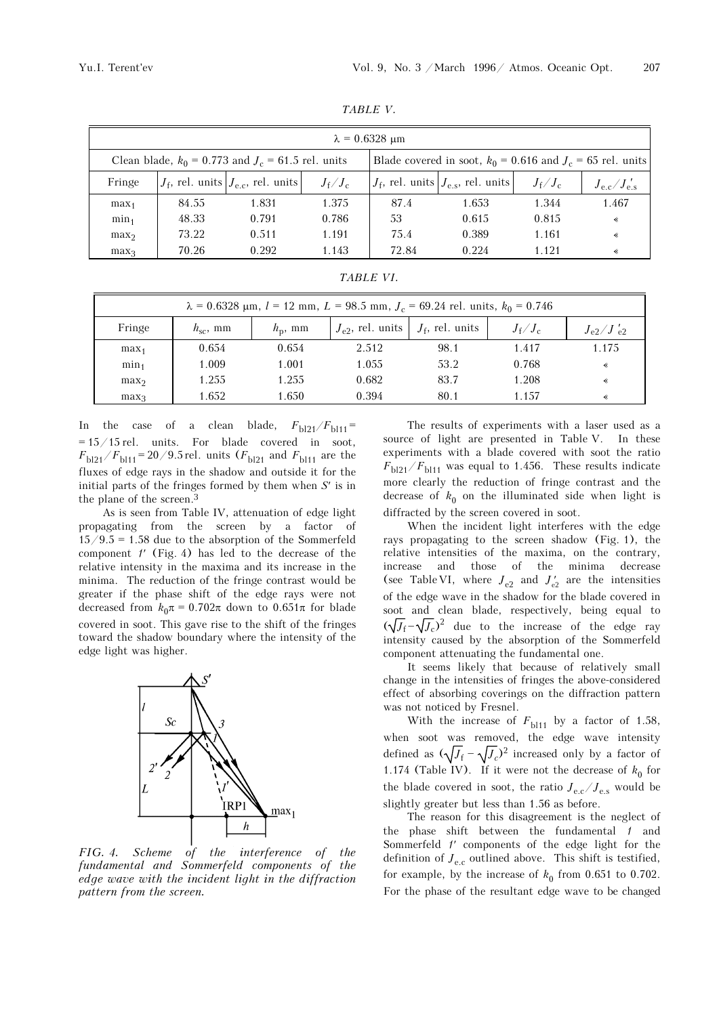|                                                                                                                          | $\lambda = 0.6328$ um |                                                     |                       |       |                                                     |                       |                            |  |
|--------------------------------------------------------------------------------------------------------------------------|-----------------------|-----------------------------------------------------|-----------------------|-------|-----------------------------------------------------|-----------------------|----------------------------|--|
| Clean blade, $k_0 = 0.773$ and $J_c = 61.5$ rel. units<br>Blade covered in soot, $k_0 = 0.616$ and $J_c = 65$ rel. units |                       |                                                     |                       |       |                                                     |                       |                            |  |
| Fringe                                                                                                                   |                       | $J_{\rm f}$ , rel. units $J_{\rm e.c}$ , rel. units | $J_{\rm f}/J_{\rm c}$ |       | $J_{\rm f}$ , rel. units $J_{\rm e,s}$ , rel. units | $J_{\rm f}/J_{\rm c}$ | $J_{\rm e.c}/J_{\rm e.s.}$ |  |
| max <sub>1</sub>                                                                                                         | 84.55                 | 1.831                                               | 1.375                 | 87.4  | 1.653                                               | 1.344                 | 1.467                      |  |
| min <sub>1</sub>                                                                                                         | 48.33                 | 0.791                                               | 0.786                 | 53    | 0.615                                               | 0.815                 | ∢                          |  |
| max <sub>2</sub>                                                                                                         | 73.22                 | 0.511                                               | 1.191                 | 75.4  | 0.389                                               | 1.161                 | ∢                          |  |
| max <sub>3</sub>                                                                                                         | 70.26                 | 0.292                                               | 1.143                 | 72.84 | 0.224                                               | 1.121                 | ∢                          |  |

*TABLE V.*

| TABLE VI. |  |  |  |
|-----------|--|--|--|
|           |  |  |  |

| $\lambda = 0.6328$ µm, $l = 12$ mm, $L = 98.5$ mm, $J_c = 69.24$ rel. units, $k_0 = 0.746$ |               |                  |                                               |      |                       |                                  |
|--------------------------------------------------------------------------------------------|---------------|------------------|-----------------------------------------------|------|-----------------------|----------------------------------|
| Fringe                                                                                     | $h_{sc}$ , mm | $h_{\rm p}$ , mm | $J_{e2}$ , rel. units $\mid J_f$ , rel. units |      | $J_{\rm f}/J_{\rm c}$ | $J_{\rm e2}/J_{\rm e2}^{\prime}$ |
| max <sub>1</sub>                                                                           | 0.654         | 0.654            | 2.512                                         | 98.1 | 1.417                 | 1.175                            |
| min <sub>1</sub>                                                                           | 1.009         | 1.001            | 1.055                                         | 53.2 | 0.768                 | ∢                                |
| max <sub>2</sub>                                                                           | 1.255         | 1.255            | 0.682                                         | 83.7 | 1.208                 | ∢                                |
| max <sub>3</sub>                                                                           | 1.652         | 1.650            | 0.394                                         | 80.1 | 1.157                 | ∢                                |

In the case of a clean blade,  $F_{b121}/F_{b111} =$  $= 15/15$  rel. units. For blade covered in soot,  $F_{b121}/F_{b111}$ = 20/9.5 rel. units ( $F_{b121}$  and  $F_{b111}$  are the fluxes of edge rays in the shadow and outside it for the initial parts of the fringes formed by them when *S*′ is in the plane of the screen.3

As is seen from Table IV, attenuation of edge light propagating from the screen by a factor of  $15/9.5 = 1.58$  due to the absorption of the Sommerfeld component *1*′ (Fig. 4) has led to the decrease of the relative intensity in the maxima and its increase in the minima. The reduction of the fringe contrast would be greater if the phase shift of the edge rays were not decreased from  $k_0 \pi = 0.702\pi$  down to  $0.651\pi$  for blade covered in soot. This gave rise to the shift of the fringes toward the shadow boundary where the intensity of the edge light was higher.



*FIG. 4. Scheme of the interference of the fundamental and Sommerfeld components of the edge wave with the incident light in the diffraction pattern from the screen.* 

The results of experiments with a laser used as a source of light are presented in Table V. In these experiments with a blade covered with soot the ratio  $F_{\rm bl21}/F_{\rm bl11}$  was equal to 1.456. These results indicate more clearly the reduction of fringe contrast and the decrease of  $k_0$  on the illuminated side when light is diffracted by the screen covered in soot.

When the incident light interferes with the edge rays propagating to the screen shadow (Fig. 1), the relative intensities of the maxima, on the contrary, increase and those of the minima decrease (see Table VI, where  $J_{e2}$  and  $J'_{e2}$  are the intensities of the edge wave in the shadow for the blade covered in soot and clean blade, respectively, being equal to  $(\sqrt{J_f} - \sqrt{J_c})^2$  due to the increase of the edge ray intensity caused by the absorption of the Sommerfeld component attenuating the fundamental one.

It seems likely that because of relatively small change in the intensities of fringes the above-considered effect of absorbing coverings on the diffraction pattern was not noticed by Fresnel.

With the increase of  $F_{bl11}$  by a factor of 1.58, when soot was removed, the edge wave intensity defined as  $(\sqrt{J_f} - \sqrt{J_c})^2$  increased only by a factor of 1.174 (Table IV). If it were not the decrease of  $k_0$  for the blade covered in soot, the ratio  $J_{\text{e.c}}/J_{\text{e.s}}$  would be slightly greater but less than 1.56 as before.

The reason for this disagreement is the neglect of the phase shift between the fundamental *1* and Sommerfeld *1*′ components of the edge light for the definition of  $J_{\text{e.c}}$  outlined above. This shift is testified, for example, by the increase of  $k_0$  from 0.651 to 0.702. For the phase of the resultant edge wave to be changed